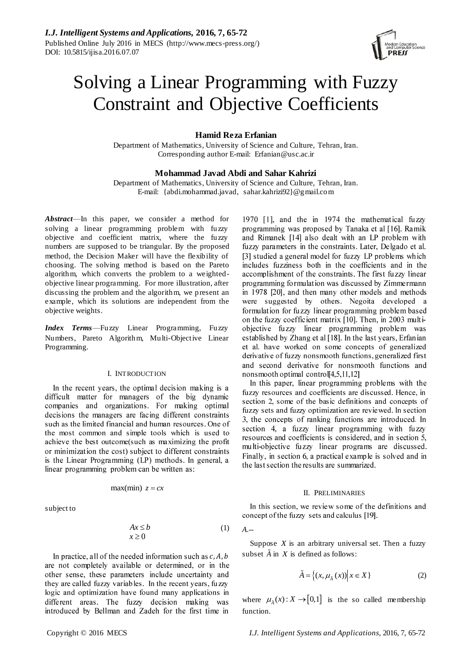

# Solving a Linear Programming with Fuzzy Constraint and Objective Coefficients

# **Hamid Reza Erfanian**

Department of Mathematics, University of Science and Culture, Tehran, Iran. Corresponding author E-mail: [Erfanian@usc.ac.ir](mailto:Erfanian@usc.ac.ir)

# **Mohammad Javad Abdi and Sahar Kahrizi**

Department of Mathematics, University of Science and Culture, Tehran, Iran. E-mail: [{abdi.mohammad.javad,](mailto:abdi.mohammad.javad) sahar.kahrizi92}@gmail.com

*Abstract*—In this paper, we consider a method for solving a linear programming problem with fuzzy objective and coefficient matrix, where the fuzzy numbers are supposed to be triangular. By the proposed method, the Decision Maker will have the flexibility of choosing. The solving method is based on the Pareto algorithm, which converts the problem to a weightedobjective linear programming. For more illustration, after discussing the problem and the algorithm, we present an example, which its solutions are independent from the objective weights.

*Index Terms*—Fuzzy Linear Programming, Fuzzy Numbers, Pareto Algorithm, Multi-Objective Linear Programming.

## I. INTRODUCTION

In the recent years, the optimal decision making is a difficult matter for managers of the big dynamic companies and organizations. For making optimal decisions the managers are facing different constraints such as the limited financial and human resources. One of the most common and simple tools which is used to achieve the best outcome(such as maximizing the profit or minimization the cost) subject to different constraints is the Linear Programming (LP) methods. In general, a linear programming problem can be written as:

$$
\max(\min) \ z = cx
$$

subject to

$$
\begin{aligned}\nAx \le b \\
x \ge 0\n\end{aligned} \tag{1}
$$

In practice, all of the needed information such as  $c, A, b$ are not completely available or determined, or in the other sense, these parameters include uncertainty and they are called fuzzy variables. In the recent years, fuzzy logic and optimization have found many applications in different areas. The fuzzy decision making was introduced by Bellman and Zadeh for the first time in programming was proposed by Tanaka et al [16]. Ramik and Rimanek [14] also dealt with an LP problem with fuzzy parameters in the constraints. Later, Delgado et al. [3] studied a general model for fuzzy LP problems which includes fuzziness both in the coefficients and in the accomplishment of the constraints. The first fuzzy linear programming formulation was discussed by Zimmermann in 1978 [20], and then many other models and methods were suggested by others. Negoita developed a formulation for fuzzy linear programming problem based on the fuzzy coefficient matrix [10]. Then, in 2003 multiobjective fuzzy linear programming problem was established by Zhang et al [18]. In the last years, Erfanian et al. have worked on some concepts of generalized derivative of fuzzy nonsmooth functions, generalized first and second derivative for nonsmooth functions and nonsmooth optimal control $[4,5,11,12]$ 

1970 [1], and the in 1974 the mathematical fuzzy

In this paper, linear programming problems with the fuzzy resources and coefficients are discussed. Hence, in section 2, some of the basic definitions and concepts of fuzzy sets and fuzzy optimization are reviewed. In section 3, the concepts of ranking functions are introduced. In section 4, a fuzzy linear programming with fuzzy resources and coefficients is considered, and in section 5, multi-objective fuzzy linear programs are discussed. Finally, in section 6, a practical example is solved and in the last section the results are summarized.

## II. PRELIMINARIES

In this section, we review some of the definitions and concept of the fuzzy sets and calculus [19].

$$
A.-
$$

Suppose  $X$  is an arbitrary universal set. Then a fuzzy subset  $\tilde{A}$  in  $X$  is defined as follows:

$$
\tilde{A} = \left\{ (x, \mu_{\tilde{A}}(x)) \middle| x \in X \right\} \tag{2}
$$

where  $\mu_{\lambda}(x)$ :  $X \rightarrow [0,1]$  is the so called membership function.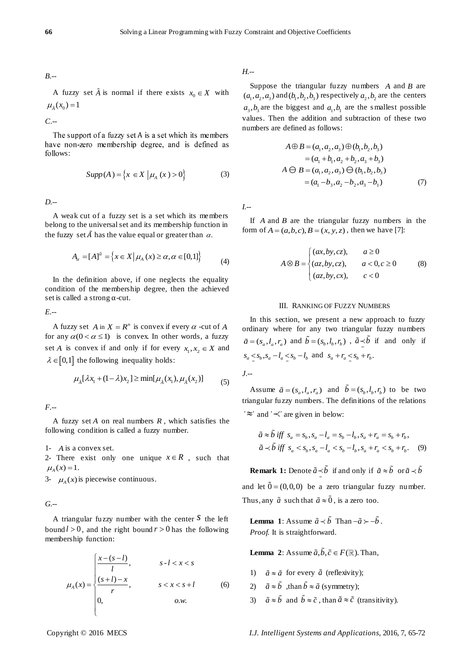*B.--*

A fuzzy set  $\tilde{A}$  is normal if there exists  $x_0 \in X$  with  $\mu_{\tilde{A}}(x_0) = 1$ 

*C.--*

The support of a fuzzy set A is a set which its members have non-zero membership degree, and is defined as follows:

$$
Supp(A) = \{x \in X | \mu_A(x) > 0\}
$$
 (3)

*D.--*

A weak cut of a fuzzy set is a set which its members belong to the universal set and its membership function in the fuzzy set  $\tilde{A}$  has the value equal or greater than  $\alpha$ .

$$
A_{\alpha} = [A]^{\tilde{\alpha}} = \{ x \in X | \mu_A(x) \ge \alpha, \alpha \in [0,1] \}
$$
 (4)

In the definition above, if one neglects the equality condition of the membership degree, then the achieved set is called a strong  $\alpha$ -cut.

*E.--*

A fuzzy set A in  $X = R^n$  is convex if every  $\alpha$  -cut of A for any  $\alpha(0 < \alpha \le 1)$  is convex. In other words, a fuzzy set *A* is convex if and only if for every  $x_1, x_2 \in X$  and  $\lambda \in [0,1]$  the following inequality holds:

$$
\mu_{\tilde{A}}[\lambda x_1 + (1 - \lambda)x_2] \ge \min[\mu_{\tilde{A}}(x_1), \mu_{\tilde{A}}(x_2)] \tag{5}
$$

*F.--*

A fuzzy set *A* on real numbers *R* , which satisfies the following condition is called a fuzzy number.

1- *A* is a convex set.

2- There exist only one unique  $x \in R$ , such that  $\mu_{A}(x) = 1.$ 

3-  $\mu_A(x)$  is piecewise continuous.

*G.--*

A triangular fuzzy number with the center  $S$  the left bound  $l > 0$ , and the right bound  $r > 0$  has the following membership function:

$$
\mu_A(x) = \begin{cases}\n\frac{x - (s - l)}{l}, & s - l < x < s \\
\frac{(s + l) - x}{r}, & s < x < s + l \\
0, & o.w.\n\end{cases} \tag{6}
$$

*H.--*

Suppose the triangular fuzzy numbers  $A$  and  $B$  are  $(a_1, a_2, a_3)$  and  $(b_1, b_2, b_3)$  respectively  $a_2, b_2$  are the centers  $a_3$ ,  $b_3$  are the biggest and  $a_1$ ,  $b_1$  are the smallest possible values. Then the addition and subtraction of these two numbers are defined as follows:

$$
A \oplus B = (a_1, a_2, a_3) \oplus (b_1, b_2, b_3)
$$
  
=  $(a_1 + b_1, a_2 + b_2, a_3 + b_3)$   

$$
A \oplus B = (a_1, a_2, a_3) \oplus (b_1, b_2, b_3)
$$
  
=  $(a_1 - b_3, a_2 - b_2, a_3 - b_1)$  (7)

*I.--*

If *A* and *B* are the triangular fuzzy numbers in the form of  $A = (a, b, c), B = (x, y, z)$ , then we have [7]:

$$
A \otimes B = \begin{cases} (ax, by, cz), & a \ge 0 \\ (az, by, cz), & a < 0, c \ge 0 \\ (az, by, cx), & c < 0 \end{cases}
$$
 (8)

#### III. RANKING OF FUZZY NUMBERS

In this section, we present a new approach to fuzzy ordinary where for any two triangular fuzzy numbers  $\tilde{a} = (s_a, l_a, r_a)$  and  $b = (s_b, l_b, r_b)$ ,  $\tilde{a} \leq b$  if and only if  $S_a \leq S_b$ ,  $S_a - l_a \leq S_b - l_b$  and  $S_a + r_a \leq S_b + r_b$ . *J.--*

Assume  $\tilde{a} = (s_a, l_a, r_a)$  and  $b = (s_b, l_b, r_b)$  to be two triangular fuzzy numbers. The definitions of the relations  $\approx$  and  $\sim$  are given in below:

$$
\tilde{a} \approx \tilde{b} \text{ iff } s_a = s_b, s_a - l_a = s_b - l_b, s_a + r_a = s_b + r_b,
$$
  
\n
$$
\tilde{a} \prec \tilde{b} \text{ iff } s_a < s_b, s_a - l_a < s_b - l_b, s_a + r_a < s_b + r_b. \tag{9}
$$

**Remark 1:** Denote  $\tilde{a} \leq b$  if and only if  $\tilde{a} \approx b$  or  $\tilde{a} \lt b$ 

and let  $0 = (0,0,0)$  be a zero triangular fuzzy number. Thus, any  $\tilde{a}$  such that  $\tilde{a} \approx 0$ , is a zero too.

**Lemma** 1: Assume  $\tilde{a} \prec b$  Than  $-\tilde{a} \succ -b$ . *Proof.* It is straightforward.

**Lemma** 2: Assume  $\tilde{a}, \tilde{b}, \tilde{c} \in F(\mathbb{R})$ . Than,

- 1)  $\tilde{a} \approx \tilde{a}$  for every  $\tilde{a}$  (reflexivity);
- 2)  $\tilde{a} \approx b$ , than  $\tilde{b} \approx \tilde{a}$  (symmetry);
- 3)  $\tilde{a} \approx \tilde{b}$  and  $\tilde{b} \approx \tilde{c}$ , than  $\tilde{a} \approx \tilde{c}$  (transitivity).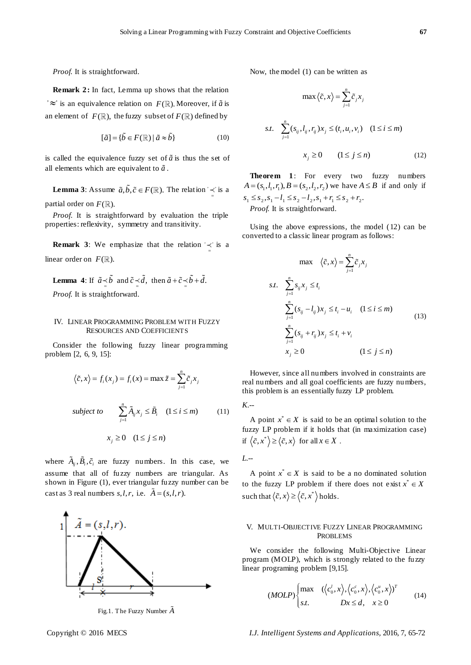*Proof.* It is straightforward.

**Remark 2:** In fact, Lemma up shows that the relation  $\tilde{z} \approx \tilde{z}$  is an equivalence relation on  $F(\mathbb{R})$ . Moreover, if  $\tilde{a}$  is an element of  $\ F(\mathbb R),$  the fuzzy subset of  $F(\mathbb R)$  defined by

$$
[\tilde{a}] = {\tilde{b} \in F(\mathbb{R}) \mid \tilde{a} \approx \tilde{b}}
$$
\n(10)

is called the equivalence fuzzy set of  $\tilde{a}$  is thus the set of all elements which are equivalent to  $\tilde{a}$ .

**Lemma** 3: Assume  $\tilde{a}, \tilde{b}, \tilde{c} \in F(\mathbb{R})$ . The relation  $\prec$  $\leq$  is a partial order on  $F(\mathbb{R})$ .

*Proof*. It is straightforward by evaluation the triple properties: reflexivity, symmetry and transitivity.

**Remark 3:** We emphasize that the relation  $\forall$  $\leq$  is a linear order on  $F(\mathbb{R})$ .

**Lemma** 4: If  $\tilde{a} \leq b$  and  $\tilde{c} \leq d$ , then  $\tilde{a} + \tilde{c} \leq b + d$ . *Proof.* It is straightforward.

#### IV. LINEAR PROGRAMMING PROBLEM WITH FUZZY RESOURCES AND COEFFICIENTS

Consider the following fuzzy linear programming problem [2, 6, 9, 15]:

$$
\langle \tilde{c}, x \rangle = f_i(x_j) = f_i(x) = \max \tilde{z} = \sum_{j=1}^n \tilde{c}_j x_j
$$

subject to 
$$
\sum_{j=1}^{n} \tilde{A}_{ij} x_j \leq \tilde{B}_i \quad (1 \leq i \leq m) \tag{11}
$$

 $x_j \geq 0 \quad (1 \leq j \leq n)$ 

where  $A_{ij}, \tilde{B}_i, \tilde{c}_i$  are fuzzy numbers. In this case, we assume that all of fuzzy numbers are triangular. As shown in Figure (1), ever triangular fuzzy number can be cast as 3 real numbers  $s, l, r$ , i.e.  $A = (s, l, r)$ .



Fig.1. The Fuzzy Number *A*

Now, the model (1) can be written as

$$
\max \left\langle \tilde{c}, x \right\rangle = \sum_{j=1}^{n} \tilde{c}_j x_j
$$
  
s.t. 
$$
\sum_{j=1}^{n} (s_{ij}, l_{ij}, r_{ij}) x_j \leq (t_i, u_i, v_i) \quad (1 \leq i \leq m)
$$

$$
x_j \geq 0 \qquad (1 \leq j \leq n) \tag{12}
$$

**Theorem 1**: For every two fuzzy numbers  $A = (s_1, l_1, r_1), B = (s_2, l_2, r_2)$  we have  $A \le B$  if and only if  $s_1 \leq s_2, s_1 - l_1 \leq s_2 - l_2, s_1 + r_1 \leq s_2 + r_2.$ *Proof.* It is straightforward.

Using the above expressions, the model (12) can be converted to a classic linear program as follows:

$$
\max \quad \langle \tilde{c}, x \rangle = \sum_{j=1}^{n} \tilde{c}_j x_j
$$
\n
$$
s.t. \quad \sum_{j=1}^{n} s_{ij} x_j \le t_i
$$
\n
$$
\sum_{j=1}^{n} (s_{ij} - l_{ij}) x_j \le t_i - u_i \quad (1 \le i \le m)
$$
\n
$$
\sum_{j=1}^{n} (s_{ij} + r_{ij}) x_j \le t_i + v_i
$$
\n
$$
x_j \ge 0 \qquad (1 \le j \le n)
$$
\n
$$
(1 \le j \le n)
$$

However, since all numbers involved in constraints are real numbers and all goal coefficients are fuzzy numbers, this problem is an essentially fuzzy LP problem.

*K.--*

A point  $x^* \in X$  is said to be an optimal solution to the fuzzy LP problem if it holds that (in maximization case) if  $\langle \tilde{c}, x^* \rangle \ge \langle \tilde{c}, x \rangle$  for all  $x \in X$ .

*L.--*

A point  $x^* \in X$  is said to be a no dominated solution to the fuzzy LP problem if there does not exist  $x^* \in X$ such that  $\langle \tilde{c}, x \rangle \ge \langle \tilde{c}, x^* \rangle$  holds.

## V. MULTI-OBJJECTIVE FUZZY LINEAR PROGRAMMING PROBLEMS

We consider the following Multi-Objective Linear program (MOLP), which is strongly related to the fuzzy linear programing problem [9,15].

$$
(MOLP)\begin{cases} \max \quad (\langle c_0^t, x \rangle, \langle c_0^c, x \rangle, \langle c_0^u, x \rangle)^T\\ s.t. \quad Dx \le d, \quad x \ge 0 \end{cases}
$$
(14)

Copyright © 2016 MECS *I.J. Intelligent Systems and Applications,* 2016, 7, 65-72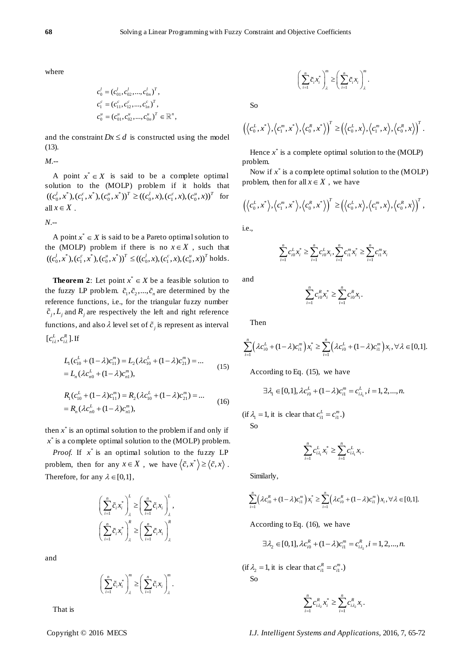where

$$
c_0^l = (c_{01}^l, c_{02}^l, ..., c_{0n}^l)^T,
$$
  
\n
$$
c_1^c = (c_{11}^c, c_{12}^c, ..., c_{1n}^c)^T,
$$
  
\n
$$
c_0^u = (c_{01}^u, c_{02}^u, ..., c_{0n}^u)^T \in \mathbb{R}^n,
$$

and the constraint  $Dx \le d$  is constructed using the model (13).

*M.--*

A point  $x^* \in X$  is said to be a complete optimal solution to the (MOLP) problem if it holds that solution to the (MOLP) problem if it holds that  $((c_0^l, x^*), (c_1^c, x^*), (c_0^u, x^*))^T \ge ((c_0^l, x), (c_1^c, x), (c_0^c, x))^T$  for all  $x \in X$ .

*N.--*

A point  $x^* \in X$  is said to be a Pareto optimal solution to the (MOLP) problem if there is no  $x \in X$ , such that the (MOLP) problem if there is no  $x \in X$ , such that  $((c_0^l, x^*), (c_1^c, x^*), (c_0^u, x^*))^T \le ((c_0^l, x), (c_1^c, x), (c_0^u, x))^T$  holds.

**Theorem 2:** Let point  $x^* \in X$  be a feasible solution to the fuzzy LP problem.  $\tilde{c}_1, \tilde{c}_2, ..., \tilde{c}_n$  are determined by the reference functions, i.e., for the triangular fuzzy number  $\tilde{c}_j$ ,  $L_j$  and  $R_j$  are respectively the left and right reference functions, and also  $\lambda$  level set of  $\tilde{c}_j$  is represent as interval  $[c_{i\lambda}^L, c_{i\lambda}^R]$ . If

$$
L_1(c_{10}^L + (1 - \lambda)c_{11}^m) = L_2(\lambda c_{10}^L + (1 - \lambda)c_{21}^m) = \dots
$$
  
=  $L_n(\lambda c_{n0}^L + (1 - \lambda)c_n^m),$  (15)

$$
R_1(c_{10}^L + (1 - \lambda)c_{11}^m) = R_2(\lambda c_{10}^L + (1 - \lambda)c_{21}^m) = \dots
$$
  
=  $R_n(\lambda c_{n0}^L + (1 - \lambda)c_n^m),$  (16)

then  $x^*$  is an optimal solution to the problem if and only if  $x^*$  is a complete optimal solution to the (MOLP) problem.

*Proof.* If  $x^*$  is an optimal solution to the fuzzy LP problem, then for any  $x \in X$ , we have  $\langle \tilde{c}, x^* \rangle \ge \langle \tilde{c}, x \rangle$ . Therefore, for any  $\lambda \in [0,1]$ ,

$$
\left(\sum_{i=1}^n \tilde{c}_i x_i^*\right)_\lambda^L \ge \left(\sum_{i=1}^n \tilde{c}_i x_i\right)_\lambda^L,
$$
  

$$
\left(\sum_{i=1}^n \tilde{c}_i x_i^*\right)_\lambda^R \ge \left(\sum_{i=1}^n \tilde{c}_i x_i\right)_\lambda^R.
$$

and

$$
\left(\sum_{i=1}^n \widetilde{c}_i x_i^*\right)_\lambda^m \ge \left(\sum_{i=1}^n \widetilde{c}_i x_i\right)_\lambda^m.
$$

That is

$$
\left(\sum_{i=1}^n \widetilde{c}_i x_i^*\right)_\lambda^m \ge \left(\sum_{i=1}^n \widetilde{c}_i x_i\right)_\lambda^m.
$$

So

$$
\left(\left\langle c_0^L, x^*\right\rangle, \left\langle c_1^m, x^*\right\rangle, \left\langle c_0^R, x^*\right\rangle\right)^T \ge \left(\left\langle c_0^L, x\right\rangle, \left\langle c_1^m, x\right\rangle, \left\langle c_0^R, x\right\rangle\right)^T.
$$

 $\binom{n}{n}$   $\binom{n}{n}$   $\binom{m}{n}$ 

.

Hence  $x^*$  is a complete optimal solution to the (MOLP) problem.

Now if  $x^*$  is a complete optimal solution to the  $(MOLP)$ problem, then for all  $x \in X$ , we have

$$
\left(\langle c_0^L, x^*\rangle, \langle c_1^m, x^*\rangle, \langle c_0^R, x^*\rangle\right)^T \ge \left(\langle c_0^L, x\rangle, \langle c_1^m, x\rangle, \langle c_0^R, x\rangle\right)^T,
$$

i.e.,

$$
\sum_{i=1}^{n} c_{i0}^{L} x_{i}^{*} \geq \sum_{i=1}^{n} c_{i0}^{L} x_{i}, \sum_{i=1}^{n} c_{i1}^{m} x_{i}^{*} \geq \sum_{i=1}^{n} c_{i1}^{m} x_{i}
$$

and

$$
\sum_{i=1}^n c_{i0}^R x_i^* \ge \sum_{i=1}^n c_{i0}^R x_i.
$$

Then

Then  
\n
$$
\sum_{i=1}^{n} \left( \lambda c_{i0}^{L} + (1 - \lambda) c_{i1}^{m} \right) x_{i}^{*} \geq \sum_{i=1}^{n} \left( \lambda c_{i0}^{L} + (1 - \lambda) c_{i1}^{m} \right) x_{i}, \forall \lambda \in [0,1].
$$

According to Eq. (15), we have

$$
\exists \lambda_1 \in [0,1], \lambda c_{i0}^L + (1-\lambda)c_{i1}^m = c_{i\lambda_1}^L, i = 1,2,...,n.
$$

 $(\text{if } \lambda_1 = 1, \text{ it is clear that } c_{i1}^L = c_{i1}^m.)$ So

$$
\sum_{i=1}^n c_{i\lambda_i}^L x_i^* \ge \sum_{i=1}^n c_{i\lambda_i}^L x_i.
$$

Similarly,

Similarly,  
\n
$$
\sum_{i=1}^{n} \left( \lambda c_{i0}^{R} + (1 - \lambda) c_{i1}^{m} \right) x_{i}^{*} \geq \sum_{i=1}^{n} \left( \lambda c_{i0}^{R} + (1 - \lambda) c_{i1}^{m} \right) x_{i}, \forall \lambda \in [0,1].
$$

According to Eq. (16), we have

$$
\exists \lambda_2 \in [0,1], \lambda c_{i0}^R + (1-\lambda)c_{i1}^m = c_{i\lambda_2}^R, i = 1,2,...,n.
$$

 $(\text{if } \lambda_2 = 1, \text{ it is clear that } c_{i1}^R = c_{i1}^m.)$ So

$$
\sum_{i=1}^n c_{i\lambda_2}^R x_i^* \ge \sum_{i=1}^n c_{i\lambda_2}^R x_i.
$$

Copyright © 2016 MECS *I.J. Intelligent Systems and Applications,* 2016, 7, 65-72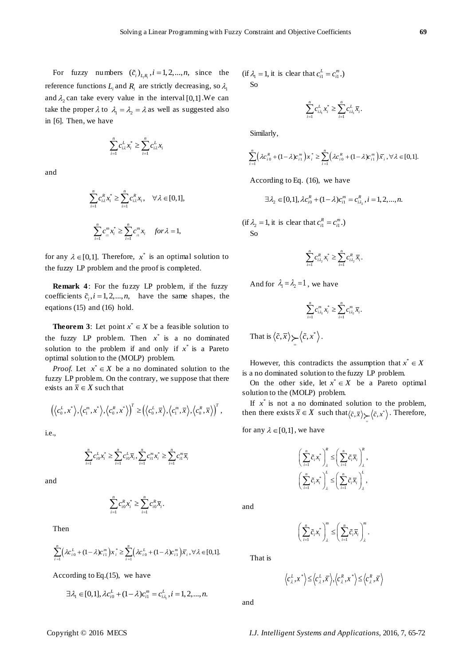For fuzzy numbers  $(\tilde{c}_i)_{L_i R_i}$ ,  $i = 1, 2, ..., n$ , since the reference functions  $L_i$  and  $R_i$  are strictly decreasing, so  $\lambda_1$ and  $\lambda_2$  can take every value in the interval [0,1]. We can take the proper  $\lambda$  to  $\lambda_1 = \lambda_2 = \lambda$  as well as suggested also in [6]. Then, we have

$$
\sum_{i=1}^n c_{i\lambda}^L x_i^* \ge \sum_{i=1}^n c_{i\lambda}^L x_i
$$

and

$$
\sum_{i=1}^{n} c_{i\lambda}^{R} x_{i}^{*} \geq \sum_{i=1}^{n} c_{i\lambda}^{R} x_{i}, \quad \forall \lambda \in [0,1],
$$
  

$$
\sum_{i=1}^{n} c_{i\lambda}^{m} x_{i}^{*} \geq \sum_{i=1}^{n} c_{i\lambda}^{m} x_{i} \quad \text{for } \lambda = 1,
$$

for any  $\lambda \in [0,1]$ . Therefore,  $x^*$  is an optimal solution to the fuzzy LP problem and the proof is completed.

**Remark 4**: For the fuzzy LP problem, if the fuzzy coefficients  $\tilde{c}_i$ ,  $i = 1, 2, ..., n$ , have the same shapes, the eqations (15) and (16) hold.

**Theorem 3:** Let point  $x^* \in X$  be a feasible solution to the fuzzy LP problem. Then  $x^*$  is a no dominated solution to the problem if and only if  $x^*$  is a Pareto optimal solution to the (MOLP) problem.

*Proof.* Let  $x^* \in X$  be a no dominated solution to the fuzzy LP problem. On the contrary, we suppose that there exists an  $\overline{x} \in X$  such that

$$
\left(\left\langle c_0^L,x^* \right\rangle,\left\langle c_1^m,x^* \right\rangle,\left\langle c_0^R,x^* \right\rangle\right)^T \geq \left(\left\langle c_0^L,\overline{x} \right\rangle,\left\langle c_1^m,\overline{x} \right\rangle,\left\langle c_0^R,\overline{x} \right\rangle\right)^T,
$$

i.e.,

$$
\sum_{i=1}^{n} c_{i0}^{L} x_{i}^{*} \geq \sum_{i=1}^{n} c_{i0}^{L} \overline{x}_{i}, \sum_{i=1}^{n} c_{i1}^{m} x_{i}^{*} \geq \sum_{i=1}^{n} c_{i1}^{m} \overline{x}_{i}
$$

and

$$
\sum_{i=1}^n c_{i0}^R x_i^* \ge \sum_{i=1}^n c_{i0}^R \overline{x}_i.
$$

Then

Then  
\n
$$
\sum_{i=1}^{n} \left( \lambda c_{i0}^{L} + (1 - \lambda) c_{i1}^{m} \right) x_{i}^{*} \geq \sum_{i=1}^{n} \left( \lambda c_{i0}^{L} + (1 - \lambda) c_{i1}^{m} \right) \overline{x}_{i}, \forall \lambda \in [0,1].
$$

According to Eq.(15), we have

$$
\exists \lambda_1 \in [0,1], \lambda c_{i0}^L + (1-\lambda)c_{i1}^m = c_{i\lambda_1}^L, i = 1,2,...,n.
$$

 $(\text{if } \lambda_1 = 1, \text{ it is clear that } c_{i1}^L = c_{i1}^m.)$ So

$$
\sum_{i=1}^n c_{i\lambda_i}^L x_i^* \ge \sum_{i=1}^n c_{i\lambda_i}^L \overline{x}_i.
$$

Similarly,

Similarly,  
\n
$$
\sum_{i=1}^{n} \left( \lambda c_{i0}^{R} + (1 - \lambda) c_{i1}^{m} \right) x_{i}^{*} \geq \sum_{i=1}^{n} \left( \lambda c_{i0}^{R} + (1 - \lambda) c_{i1}^{m} \right) \overline{x}_{i}, \forall \lambda \in [0,1].
$$

According to Eq. (16), we have

$$
\exists \lambda_2 \in [0,1], \lambda c_{i0}^R + (1-\lambda)c_{i1}^m = c_{i\lambda_2}^R, i = 1,2,...,n.
$$

 $(\text{if } \lambda_2 = 1, \text{ it is clear that } c_{i1}^R = c_{i1}^m.)$  $S<sub>0</sub>$ 

$$
\sum_{i=1}^{n} c_{i\lambda_2}^{R} x_i^{*} \geq \sum_{i=1}^{n} c_{i\lambda_2}^{R} \overline{x}_i.
$$

And for  $\lambda_1 = \lambda_2 = 1$ , we have

$$
\sum_{i=1}^{n} C_{i\lambda_{2}}^{m} x_{i}^{*} \geq \sum_{i=1}^{n} C_{i\lambda_{2}}^{m} \overline{x}_{i}.
$$

That is  $\langle \tilde{c}, \overline{x} \rangle \searrow \langle \tilde{c}, x^* \rangle$  $\overline{a}$ .

However, this contradicts the assumption that  $x^* \in X$ is a no dominated solution to the fuzzy LP problem.

On the other side, let  $x^* \in X$  be a Pareto optimal solution to the (MOLP) problem.

If  $x^*$  is not a no dominated solution to the problem, then there exists  $\overline{x} \in X$  such that  $\langle \tilde{c}, \overline{x} \rangle \sum_{z} \langle \tilde{c}, x^* \rangle$ . Therefore,

for any  $\lambda \in [0,1]$ , we have

$$
\left(\sum_{i=1}^n \widetilde{c}_i x_i^* \right)_\lambda^R \leq \left(\sum_{i=1}^n \widetilde{c}_i \overline{x}_i \right)_\lambda^R,
$$
  

$$
\left(\sum_{i=1}^n \widetilde{c}_i x_i^* \right)_\lambda^L \leq \left(\sum_{i=1}^n \widetilde{c}_i \overline{x}_i \right)_\lambda^L,
$$

and

$$
\left(\sum_{i=1}^n \widetilde{c}_i x_i^*\right)_\lambda^m \leq \left(\sum_{i=1}^n \widetilde{c}_i \overline{x}_i\right)_\lambda^m.
$$

 $\langle c_{\lambda}^{L}, x^* \rangle \leq \langle c_{\lambda}^{L}, \overline{x} \rangle, \langle c_{\lambda}^{R}, x^* \rangle \leq \langle c_{\lambda}^{R}, \overline{x} \rangle$ 

and

That is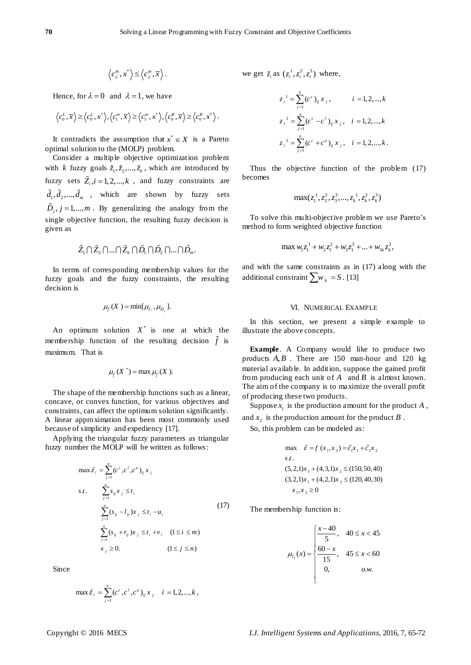$$
\left\langle c_\lambda^m,x^*\right\rangle\leq\left\langle c_\lambda^m,\overline{x}\right\rangle.
$$

Hence, for  $\lambda = 0$  and  $\lambda = 1$ , we have

$$
\left\langle c_0^L,\overline{x}\right\rangle \geq \left\langle c_0^L,x^*\right\rangle, \left\langle c_1^m,\overline{x}\right\rangle \geq \left\langle c_1^m,x^*\right\rangle, \left\langle c_0^R,\overline{x}\right\rangle \geq \left\langle c_0^R,x^*\right\rangle.
$$

It contradicts the assumption that  $x^* \in X$  is a Pareto optimal solution to the (MOLP) problem.

Consider a multiple objective optimization problem with *k* fuzzy goals  $\tilde{z}_1, \tilde{z}_2, ..., \tilde{z}_k$ , which are introduced by fuzzy sets  $Z_i$ ,  $i = 1, 2, ..., k$ , and fuzzy constraints are  $d_1, d_2, \dots, d_m$ , which are shown by fuzzy sets  $\ddot{D}_j$ ,  $j = 1,..., m$ . By generalizing the analogy from the single objective function, the resulting fuzzy decision is given as

$$
\tilde{Z}_1 \cap \tilde{Z}_2 \cap ... \cap \tilde{Z}_k \cap \tilde{D}_1 \cap \tilde{D}_2 \cap ... \cap \tilde{D}_m.
$$

In terms of corresponding membership values for the fuzzy goals and the fuzzy constraints, the resulting decision is

$$
\mu_{\tilde{f}}(X)=\min[\mu_{\tilde{z}_i},\mu_{\tilde{D}_j}].
$$

An optimum solution  $X^*$  is one at which the membership function of the resulting decision *f* is maximum. That is

$$
\mu_{\tilde{f}}(X^*) = \max \mu_{\tilde{f}}(X).
$$

The shape of the membership functions such as a linear, concave, or convex function, for various objectives and constraints, can affect the optimum solution significantly. A linear approximation has been most commonly used because of simplicity and expediency [17].

Applying the triangular fuzzy parameters as triangular fuzzy number the MOLP will be written as follows:

$$
\max \tilde{z}_i = \sum_{j=1}^n (c^c, c^l, c^u)_{ij} x_j
$$
  
s.t. 
$$
\sum_{j=1}^n s_{ij} x_j \le t_i
$$

$$
\sum_{j=1}^n (s_{ij} - l_{ij}) x_j \le t_i - u_i
$$

$$
\sum_{j=1}^n (s_{ij} + r_{ij}) x_j \le t_i + v_i \quad (1 \le i \le m)
$$

$$
x_j \ge 0. \qquad (1 \le j \le n)
$$

Since

$$
\max \tilde{z}_i = \sum_{j=1}^n (c^c, c^i, c^u)_{ij} x_j \quad i = 1, 2, ..., k,
$$

we get  $\tilde{z}_i$  as  $(z_i^1, z_i^2, z_i^3)$  where,

$$
z_i^1 = \sum_{j=1}^n (c^c)_{ij} x_j, \qquad i = 1, 2, ..., k
$$
  

$$
z_i^2 = \sum_{j=1}^n (c^c - c^t)_{ij} x_j, \quad i = 1, 2, ..., k
$$
  

$$
z_i^3 = \sum_{j=1}^n (c^c + c^u)_{ij} x_j, \quad i = 1, 2, ..., k.
$$

Thus the objective function of the problem (17) becomes

$$
\max(z_1^1, z_2^2, z_3^3, \ldots, z_k^1, z_k^2, z_k^3)
$$

To solve this multi-objective problem we use Pareto's method to form weighted objective function

$$
\max w_1 z_1^1 + w_2 z_1^2 + w_3 z_1^3 + \dots + w_{3k} z_k^3,
$$

and with the same constraints as in (17) along with the additional constraint  $\sum w_k = S$ . [13]

#### VI. NUMERICAL EXAMPLE

In this section, we present a simple example to illustrate the above concepts.

**Example**. A Company would like to produce two products  $A, B$ . There are 150 man-hour and 120 kg material available. In addition, suppose the gained profit from producing each unit of *A* and *B* is almost known. The aim of the company is to maximize the overall profit of producing these two products.

Suppose  $x_1$  is the production amount for the product A, and  $x_2$  is the production amount for the product  $B$ .

So, this problem can be modeled as:

max 
$$
\tilde{z} = f(x_1, x_2) = \tilde{c}_1 x_1 + \tilde{c}_2 x_2
$$
  
\ns t.  
\n(5,2,1)x<sub>1</sub> + (4,3,1)x<sub>2</sub>  $\le$  (150,50,40)  
\n(3,2,1)x<sub>1</sub> + (4,2,1)x<sub>2</sub>  $\le$  (120,40,30)  
\n $x_1, x_2 \ge 0$ 

The membership function is:

$$
\mu_{\tilde{c}_1}(x) = \begin{cases}\n\frac{x - 40}{5}, & 40 \le x < 45 \\
\frac{60 - x}{15}, & 45 \le x < 60 \\
0, & \text{o.w.} \n\end{cases}
$$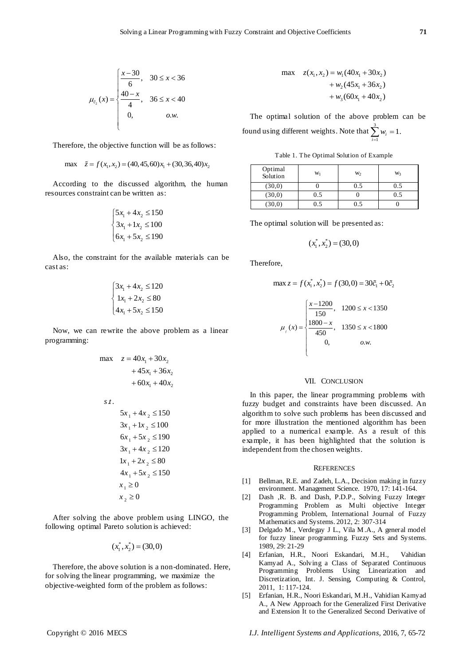$$
\mu_{\tilde{c}_2}(x) = \begin{cases} \frac{x-30}{6}, & 30 \le x < 36\\ \frac{40-x}{4}, & 36 \le x < 40\\ 0, & \text{o.w.} \end{cases}
$$

Therefore, the objective function will be as follows:

$$
\max \quad \tilde{z} = f(x_1, x_2) = (40, 45, 60)x_1 + (30, 36, 40)x_2
$$

According to the discussed algorithm, the human resources constraint can be written as:

$$
\begin{cases} 5x_1 + 4x_2 \le 150 \\ 3x_1 + 1x_2 \le 100 \\ 6x_1 + 5x_2 \le 190 \end{cases}
$$

Also, the constraint for the available materials can be cast as:

$$
\begin{cases} 3x_1 + 4x_2 \le 120 \\ 1x_1 + 2x_2 \le 80 \\ 4x_1 + 5x_2 \le 150 \end{cases}
$$

Now, we can rewrite the above problem as a linear programming:

max 
$$
z = 40x_1 + 30x_2
$$
  
\n $+ 45x_1 + 36x_2$   
\n $+ 60x_1 + 40x_2$   
\ns.t.  
\n $5x_1 + 4x_2 \le 150$   
\n $3x_1 + 1x_2 \le 100$   
\n $6x_1 + 5x_2 \le 190$   
\n $1x_1 + 2x_2 \le 80$   
\n $4x_1 + 5x_2 \le 150$   
\n $x_1 \ge 0$   
\n $x_2 \ge 0$ 

After solving the above problem using LINGO, the following optimal Pareto solution is achieved:

$$
(x_1^*, x_2^*) = (30, 0)
$$

Therefore, the above solution is a non-dominated. Here, for solving the linear programming, we maximize the objective-weighted form of the problem as follows:

max 
$$
z(x_1, x_2) = w_1(40x_1 + 30x_2)
$$
  
+  $w_2(45x_1 + 36x_2)$   
+  $w_3(60x_1 + 40x_2)$ 

The optimal solution of the above problem can be found using different weights. Note that  $\sum^3 w_i = 1$ . 1 *i*  $\overline{a}$ 

Table 1. The Optimal Solution of Example

| Optimal<br>Solution | Wı  | W <sub>2</sub> | W <sub>3</sub> |
|---------------------|-----|----------------|----------------|
| (30,0)              |     | 0.5            | 0.5            |
| (30,0)              | 0.5 |                | 0.5            |
| (30,0)              | 0.5 | ი 5            |                |

The optimal solution will be presented as:

$$
(x_1^*, x_2^*) = (30, 0)
$$

Therefore,

$$
\max z = f(x_1^*, x_2^*) = f(30, 0) = 30\tilde{c}_1 + 0\tilde{c}_2
$$

$$
\mu_{f}(x) = \begin{cases}\n\frac{x - 1200}{150}, & 1200 \leq x < 1350 \\
\frac{1800 - x}{450}, & 1350 \leq x < 1800 \\
0, & \text{o.w.} \n\end{cases}
$$

## VII. CONCLUSION

In this paper, the linear programming problems with fuzzy budget and constraints have been discussed. An algorithm to solve such problems has been discussed and for more illustration the mentioned algorithm has been applied to a numerical example. As a result of this example, it has been highlighted that the solution is independent from the chosen weights.

#### **REFERENCES**

- [1] Bellman, R.E. and Zadeh, L.A., Decision making in fuzzy environment. Management Science. 1970, 17: 141-164.
- [2] Dash ,R. B. and Dash, P.D.P., Solving Fuzzy Integer Programming Problem as Multi objective Integer Programming Problem, International Journal of Fuzzy Mathematics and Systems. 2012, 2: 307-314
- [3] Delgado M., Verdegay J L., Vila M.A., A general model for fuzzy linear programming. Fuzzy Sets and Systems. 1989, 29: 21-29
- [4] Erfanian, H.R., Noori Eskandari, M.H., Vahidian Kamyad A., Solving a Class of Separated Continuous Programming Problems Using Linearization and Discretization, Int. J. Sensing, Computing & Control, 2011, 1: 117-124.
- [5] Erfanian, H.R., Noori Eskandari, M.H., Vahidian Kamyad A., A New Approach for the Generalized First Derivative and Extension It to the Generalized Second Derivative of

Copyright © 2016 MECS *I.J. Intelligent Systems and Applications,* 2016, 7, 65-72